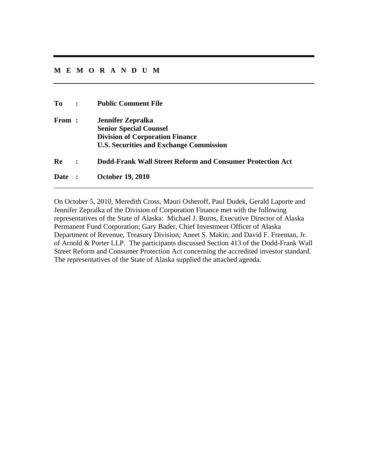## **MEMORANDUM**

| To<br>$\sim$ $\sim$ | <b>Public Comment File</b>                                                                                                                            |
|---------------------|-------------------------------------------------------------------------------------------------------------------------------------------------------|
| From:               | <b>Jennifer Zepralka</b><br><b>Senior Special Counsel</b><br><b>Division of Corporation Finance</b><br><b>U.S. Securities and Exchange Commission</b> |
| Re                  | <b>Dodd-Frank Wall Street Reform and Consumer Protection Act</b>                                                                                      |
| Date :              | <b>October 19, 2010</b>                                                                                                                               |

On October 5, 2010, Meredith Cross, Mauri Osheroff, Paul Dudek, Gerald Laporte and Jennifer Zepralka of the Division of Corporation Finance met with the following representatives of the State of Alaska: Michael J. Burns, Executive Director of Alaska Permanent Fund Corporation; Gary Bader, Chief Investment Officer of Alaska Department of Revenue, Treasury Division; Aneet S. Makin; and David F. Freeman, Jr. of Arnold & Porter LLP. The participants discussed Section 413 of the Dodd-Frank Wall Street Reform and Consumer Protection Act concerning the accredited investor standard. The representatives of the State of Alaska supplied the attached agenda.